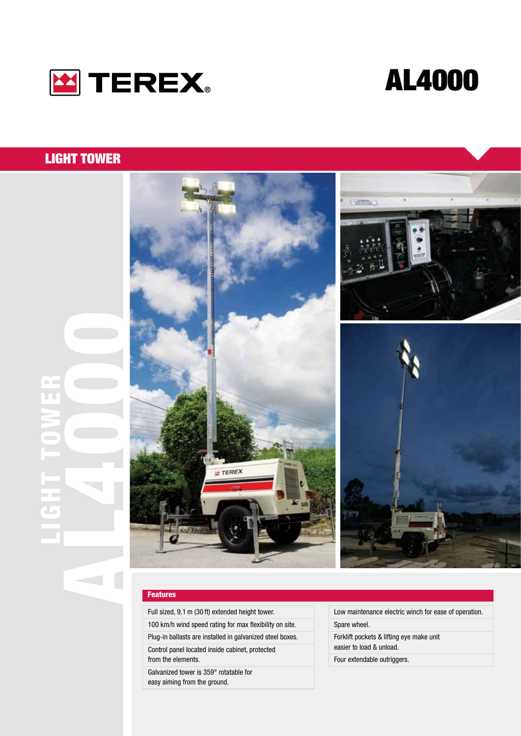



## LIGHT TOWER

LIGHT TOWER

o k U.



#### Features

Full sized, 9.1 m (30 ft) extended height tower. 100 km/h wind speed rating for max flexibility on site. Plug-in ballasts are installed in galvanized steel boxes. Control panel located inside cabinet, protected from the elements. Galvanized tower is 359° rotatable for easy aiming from the ground.

Low maintenance electric winch for ease of operation. Spare wheel. Forklift pockets & lifting eye make unit easier to load & unload.

Four extendable outriggers.